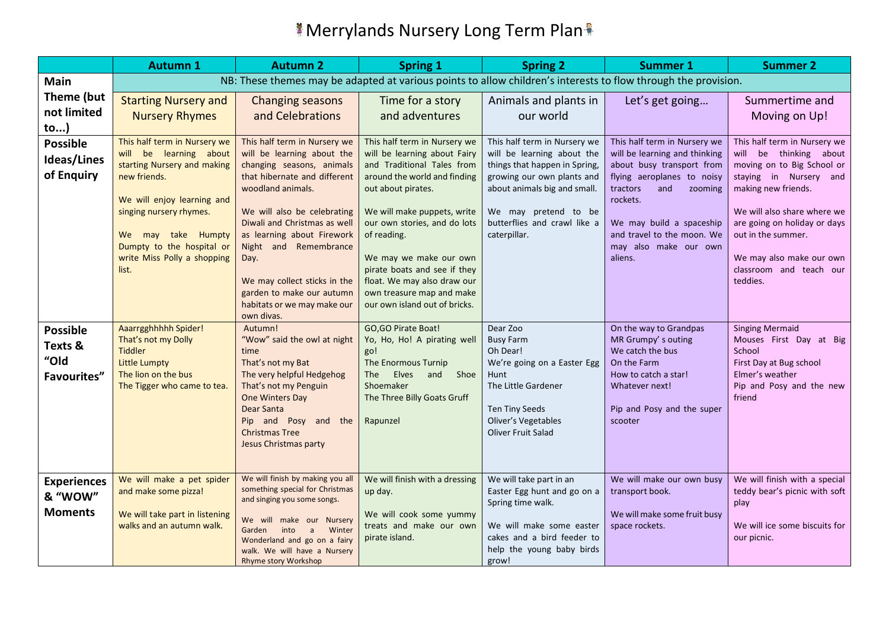|                                                   | <b>Autumn 1</b>                                                                                                                                                                                                                                           | <b>Autumn 2</b>                                                                                                                                                                                                                                                                                                                                                                      | <b>Spring 1</b>                                                                                                                                                                                                                                                                                                                                                                       | <b>Spring 2</b>                                                                                                                                                                                                                   | <b>Summer 1</b>                                                                                                                                                                                                                                                  | <b>Summer 2</b>                                                                                                                                                                                                                                                                               |
|---------------------------------------------------|-----------------------------------------------------------------------------------------------------------------------------------------------------------------------------------------------------------------------------------------------------------|--------------------------------------------------------------------------------------------------------------------------------------------------------------------------------------------------------------------------------------------------------------------------------------------------------------------------------------------------------------------------------------|---------------------------------------------------------------------------------------------------------------------------------------------------------------------------------------------------------------------------------------------------------------------------------------------------------------------------------------------------------------------------------------|-----------------------------------------------------------------------------------------------------------------------------------------------------------------------------------------------------------------------------------|------------------------------------------------------------------------------------------------------------------------------------------------------------------------------------------------------------------------------------------------------------------|-----------------------------------------------------------------------------------------------------------------------------------------------------------------------------------------------------------------------------------------------------------------------------------------------|
| Main                                              |                                                                                                                                                                                                                                                           | NB: These themes may be adapted at various points to allow children's interests to flow through the provision.                                                                                                                                                                                                                                                                       |                                                                                                                                                                                                                                                                                                                                                                                       |                                                                                                                                                                                                                                   |                                                                                                                                                                                                                                                                  |                                                                                                                                                                                                                                                                                               |
| Theme (but<br>not limited<br>$\mathsf{to}$ )      | <b>Starting Nursery and</b><br><b>Nursery Rhymes</b>                                                                                                                                                                                                      | <b>Changing seasons</b><br>and Celebrations                                                                                                                                                                                                                                                                                                                                          | Time for a story<br>and adventures                                                                                                                                                                                                                                                                                                                                                    | Animals and plants in<br>our world                                                                                                                                                                                                | Let's get going                                                                                                                                                                                                                                                  | Summertime and<br>Moving on Up!                                                                                                                                                                                                                                                               |
| <b>Possible</b><br>Ideas/Lines<br>of Enquiry      | This half term in Nursery we<br>will be learning about<br>starting Nursery and making<br>new friends.<br>We will enjoy learning and<br>singing nursery rhymes.<br>We may take Humpty<br>Dumpty to the hospital or<br>write Miss Polly a shopping<br>list. | This half term in Nursery we<br>will be learning about the<br>changing seasons, animals<br>that hibernate and different<br>woodland animals.<br>We will also be celebrating<br>Diwali and Christmas as well<br>as learning about Firework<br>Night and Remembrance<br>Day.<br>We may collect sticks in the<br>garden to make our autumn<br>habitats or we may make our<br>own divas. | This half term in Nursery we<br>will be learning about Fairy<br>and Traditional Tales from<br>around the world and finding<br>out about pirates.<br>We will make puppets, write<br>our own stories, and do lots<br>of reading.<br>We may we make our own<br>pirate boats and see if they<br>float. We may also draw our<br>own treasure map and make<br>our own island out of bricks. | This half term in Nursery we<br>will be learning about the<br>things that happen in Spring,<br>growing our own plants and<br>about animals big and small.<br>We may pretend to be<br>butterflies and crawl like a<br>caterpillar. | This half term in Nursery we<br>will be learning and thinking<br>about busy transport from<br>flying aeroplanes to noisy<br>tractors<br>and<br>zooming<br>rockets.<br>We may build a spaceship<br>and travel to the moon. We<br>may also make our own<br>aliens. | This half term in Nursery we<br>will be thinking about<br>moving on to Big School or<br>staying in Nursery and<br>making new friends.<br>We will also share where we<br>are going on holiday or days<br>out in the summer.<br>We may also make our own<br>classroom and teach our<br>teddies. |
| <b>Possible</b><br>Texts &<br>"Old<br>Favourites" | Aaarrgghhhhh Spider!<br>That's not my Dolly<br><b>Tiddler</b><br>Little Lumpty<br>The lion on the bus<br>The Tigger who came to tea.                                                                                                                      | Autumn!<br>"Wow" said the owl at night<br>time<br>That's not my Bat<br>The very helpful Hedgehog<br>That's not my Penguin<br>One Winters Day<br>Dear Santa<br>Pip and Posy and the<br><b>Christmas Tree</b><br>Jesus Christmas party                                                                                                                                                 | GO, GO Pirate Boat!<br>Yo, Ho, Ho! A pirating well<br>go!<br>The Enormous Turnip<br>Elves<br>Shoe<br>The<br>and<br>Shoemaker<br>The Three Billy Goats Gruff<br>Rapunzel                                                                                                                                                                                                               | Dear Zoo<br><b>Busy Farm</b><br>Oh Dear!<br>We're going on a Easter Egg<br>Hunt<br>The Little Gardener<br>Ten Tiny Seeds<br>Oliver's Vegetables<br><b>Oliver Fruit Salad</b>                                                      | On the way to Grandpas<br>MR Grumpy's outing<br>We catch the bus<br>On the Farm<br>How to catch a star!<br>Whatever next!<br>Pip and Posy and the super<br>scooter                                                                                               | <b>Singing Mermaid</b><br>Mouses First Day at Big<br>School<br>First Day at Bug school<br>Elmer's weather<br>Pip and Posy and the new<br>friend                                                                                                                                               |
| <b>Experiences</b><br>& "WOW"<br><b>Moments</b>   | We will make a pet spider<br>and make some pizza!<br>We will take part in listening<br>walks and an autumn walk.                                                                                                                                          | We will finish by making you all<br>something special for Christmas<br>and singing you some songs.<br>We will make our Nursery<br>Garden<br>into<br>$\mathsf{a}$<br>Winter<br>Wonderland and go on a fairy<br>walk. We will have a Nursery<br>Rhyme story Workshop                                                                                                                   | We will finish with a dressing<br>up day.<br>We will cook some yummy<br>treats and make our own<br>pirate island.                                                                                                                                                                                                                                                                     | We will take part in an<br>Easter Egg hunt and go on a<br>Spring time walk.<br>We will make some easter<br>cakes and a bird feeder to<br>help the young baby birds<br>grow!                                                       | We will make our own busy<br>transport book.<br>We will make some fruit busy<br>space rockets.                                                                                                                                                                   | We will finish with a special<br>teddy bear's picnic with soft<br>play<br>We will ice some biscuits for<br>our picnic.                                                                                                                                                                        |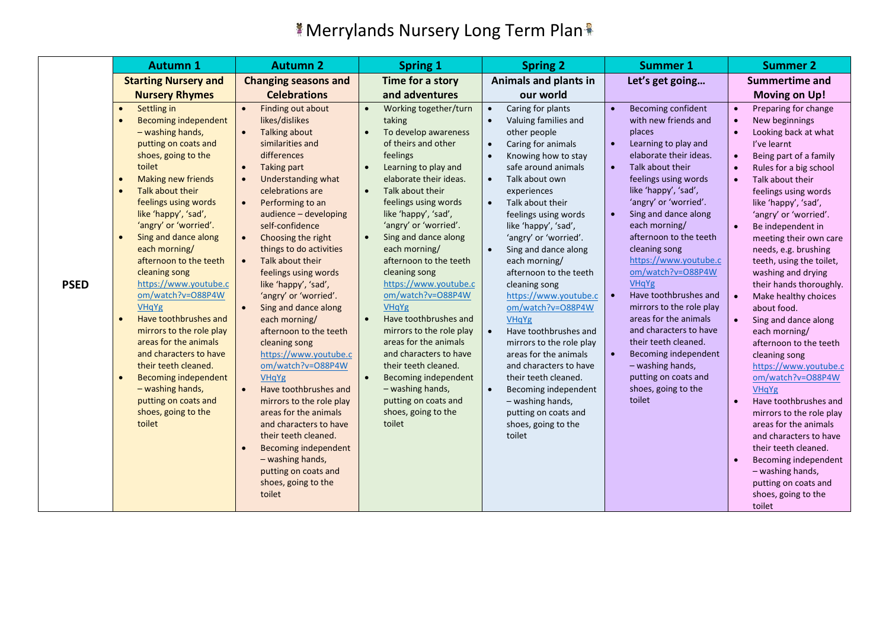|             | <b>Autumn 1</b>                                                                                                                                                                                                                                                                                                                                                                                                                                                                                                                                                                                                                                                                              | <b>Autumn 2</b>                                                                                                                                                                                                                                                                                                                                                                                                                                                                                                                                                                                                                                                                                                                                                                                                                                                       | <b>Spring 1</b>                                                                                                                                                                                                                                                                                                                                                                                                                                                                                                                                                                                                                                                                      | <b>Spring 2</b>                                                                                                                                                                                                                                                                                                                                                                                                                                                                                                                                                                                                                                                                                 | <b>Summer 1</b>                                                                                                                                                                                                                                                                                                                                                                                                                                                                                                                                                                                               | <b>Summer 2</b>                                                                                                                                                                                                                                                                                                                                                                                                                                                                                                                                                                                                                                                                                                                                                                                                                                                                                |
|-------------|----------------------------------------------------------------------------------------------------------------------------------------------------------------------------------------------------------------------------------------------------------------------------------------------------------------------------------------------------------------------------------------------------------------------------------------------------------------------------------------------------------------------------------------------------------------------------------------------------------------------------------------------------------------------------------------------|-----------------------------------------------------------------------------------------------------------------------------------------------------------------------------------------------------------------------------------------------------------------------------------------------------------------------------------------------------------------------------------------------------------------------------------------------------------------------------------------------------------------------------------------------------------------------------------------------------------------------------------------------------------------------------------------------------------------------------------------------------------------------------------------------------------------------------------------------------------------------|--------------------------------------------------------------------------------------------------------------------------------------------------------------------------------------------------------------------------------------------------------------------------------------------------------------------------------------------------------------------------------------------------------------------------------------------------------------------------------------------------------------------------------------------------------------------------------------------------------------------------------------------------------------------------------------|-------------------------------------------------------------------------------------------------------------------------------------------------------------------------------------------------------------------------------------------------------------------------------------------------------------------------------------------------------------------------------------------------------------------------------------------------------------------------------------------------------------------------------------------------------------------------------------------------------------------------------------------------------------------------------------------------|---------------------------------------------------------------------------------------------------------------------------------------------------------------------------------------------------------------------------------------------------------------------------------------------------------------------------------------------------------------------------------------------------------------------------------------------------------------------------------------------------------------------------------------------------------------------------------------------------------------|------------------------------------------------------------------------------------------------------------------------------------------------------------------------------------------------------------------------------------------------------------------------------------------------------------------------------------------------------------------------------------------------------------------------------------------------------------------------------------------------------------------------------------------------------------------------------------------------------------------------------------------------------------------------------------------------------------------------------------------------------------------------------------------------------------------------------------------------------------------------------------------------|
|             | <b>Starting Nursery and</b>                                                                                                                                                                                                                                                                                                                                                                                                                                                                                                                                                                                                                                                                  | <b>Changing seasons and</b>                                                                                                                                                                                                                                                                                                                                                                                                                                                                                                                                                                                                                                                                                                                                                                                                                                           | Time for a story                                                                                                                                                                                                                                                                                                                                                                                                                                                                                                                                                                                                                                                                     | Animals and plants in                                                                                                                                                                                                                                                                                                                                                                                                                                                                                                                                                                                                                                                                           | Let's get going                                                                                                                                                                                                                                                                                                                                                                                                                                                                                                                                                                                               | <b>Summertime and</b>                                                                                                                                                                                                                                                                                                                                                                                                                                                                                                                                                                                                                                                                                                                                                                                                                                                                          |
|             | <b>Nursery Rhymes</b>                                                                                                                                                                                                                                                                                                                                                                                                                                                                                                                                                                                                                                                                        | <b>Celebrations</b>                                                                                                                                                                                                                                                                                                                                                                                                                                                                                                                                                                                                                                                                                                                                                                                                                                                   | and adventures                                                                                                                                                                                                                                                                                                                                                                                                                                                                                                                                                                                                                                                                       | our world                                                                                                                                                                                                                                                                                                                                                                                                                                                                                                                                                                                                                                                                                       |                                                                                                                                                                                                                                                                                                                                                                                                                                                                                                                                                                                                               | <b>Moving on Up!</b>                                                                                                                                                                                                                                                                                                                                                                                                                                                                                                                                                                                                                                                                                                                                                                                                                                                                           |
| <b>PSED</b> | Settling in<br>$\bullet$<br><b>Becoming independent</b><br>- washing hands,<br>putting on coats and<br>shoes, going to the<br>toilet<br>Making new friends<br>Talk about their<br>$\bullet$<br>feelings using words<br>like 'happy', 'sad',<br>'angry' or 'worried'.<br>Sing and dance along<br>each morning/<br>afternoon to the teeth<br>cleaning song<br>https://www.youtube.c<br>om/watch?v=O88P4W<br><b>VHqYg</b><br>Have toothbrushes and<br>$\bullet$<br>mirrors to the role play<br>areas for the animals<br>and characters to have<br>their teeth cleaned.<br><b>Becoming independent</b><br>$\bullet$<br>- washing hands,<br>putting on coats and<br>shoes, going to the<br>toilet | Finding out about<br>likes/dislikes<br><b>Talking about</b><br>$\bullet$<br>similarities and<br>differences<br><b>Taking part</b><br>$\bullet$<br>Understanding what<br>$\bullet$<br>celebrations are<br>Performing to an<br>$\bullet$<br>audience - developing<br>self-confidence<br>Choosing the right<br>$\bullet$<br>things to do activities<br>Talk about their<br>$\bullet$<br>feelings using words<br>like 'happy', 'sad',<br>'angry' or 'worried'.<br>Sing and dance along<br>each morning/<br>afternoon to the teeth<br>cleaning song<br>https://www.youtube.c<br>om/watch?v=O88P4W<br><b>VHqYg</b><br>Have toothbrushes and<br>$\bullet$<br>mirrors to the role play<br>areas for the animals<br>and characters to have<br>their teeth cleaned.<br><b>Becoming independent</b><br>- washing hands,<br>putting on coats and<br>shoes, going to the<br>toilet | Working together/turn<br>taking<br>To develop awareness<br>of theirs and other<br>feelings<br>Learning to play and<br>$\bullet$<br>elaborate their ideas.<br>Talk about their<br>$\bullet$<br>feelings using words<br>like 'happy', 'sad',<br>'angry' or 'worried'.<br>Sing and dance along<br>each morning/<br>afternoon to the teeth<br>cleaning song<br>https://www.youtube.c<br>om/watch?v=O88P4W<br><b>VHqYg</b><br>Have toothbrushes and<br>$\bullet$<br>mirrors to the role play<br>areas for the animals<br>and characters to have<br>their teeth cleaned.<br>Becoming independent<br>$\bullet$<br>- washing hands,<br>putting on coats and<br>shoes, going to the<br>toilet | Caring for plants<br>$\bullet$<br>Valuing families and<br>other people<br>Caring for animals<br>$\bullet$<br>Knowing how to stay<br>safe around animals<br>Talk about own<br>$\bullet$<br>experiences<br>Talk about their<br>$\bullet$<br>feelings using words<br>like 'happy', 'sad',<br>'angry' or 'worried'.<br>Sing and dance along<br>each morning/<br>afternoon to the teeth<br>cleaning song<br>https://www.youtube.c<br>om/watch?v=O88P4W<br>VHqYg<br>Have toothbrushes and<br>mirrors to the role play<br>areas for the animals<br>and characters to have<br>their teeth cleaned.<br>Becoming independent<br>- washing hands,<br>putting on coats and<br>shoes, going to the<br>toilet | Becoming confident<br>with new friends and<br>places<br>Learning to play and<br>$\bullet$<br>elaborate their ideas.<br>Talk about their<br>$\bullet$<br>feelings using words<br>like 'happy', 'sad',<br>'angry' or 'worried'.<br>Sing and dance along<br>each morning/<br>afternoon to the teeth<br>cleaning song<br>https://www.youtube.c<br>om/watch?v=O88P4W<br>VHqYg<br>Have toothbrushes and<br>mirrors to the role play<br>areas for the animals<br>and characters to have<br>their teeth cleaned.<br>Becoming independent<br>- washing hands,<br>putting on coats and<br>shoes, going to the<br>toilet | Preparing for change<br>New beginnings<br>Looking back at what<br>I've learnt<br>Being part of a family<br>$\bullet$<br>Rules for a big school<br>Talk about their<br>$\bullet$<br>feelings using words<br>like 'happy', 'sad',<br>'angry' or 'worried'.<br>Be independent in<br>$\bullet$<br>meeting their own care<br>needs, e.g. brushing<br>teeth, using the toilet,<br>washing and drying<br>their hands thoroughly.<br>Make healthy choices<br>$\bullet$<br>about food.<br>Sing and dance along<br>$\bullet$<br>each morning/<br>afternoon to the teeth<br>cleaning song<br>https://www.youtube.c<br>om/watch?v=O88P4W<br><b>VHaYg</b><br>Have toothbrushes and<br>$\bullet$<br>mirrors to the role play<br>areas for the animals<br>and characters to have<br>their teeth cleaned.<br>Becoming independent<br>- washing hands,<br>putting on coats and<br>shoes, going to the<br>toilet |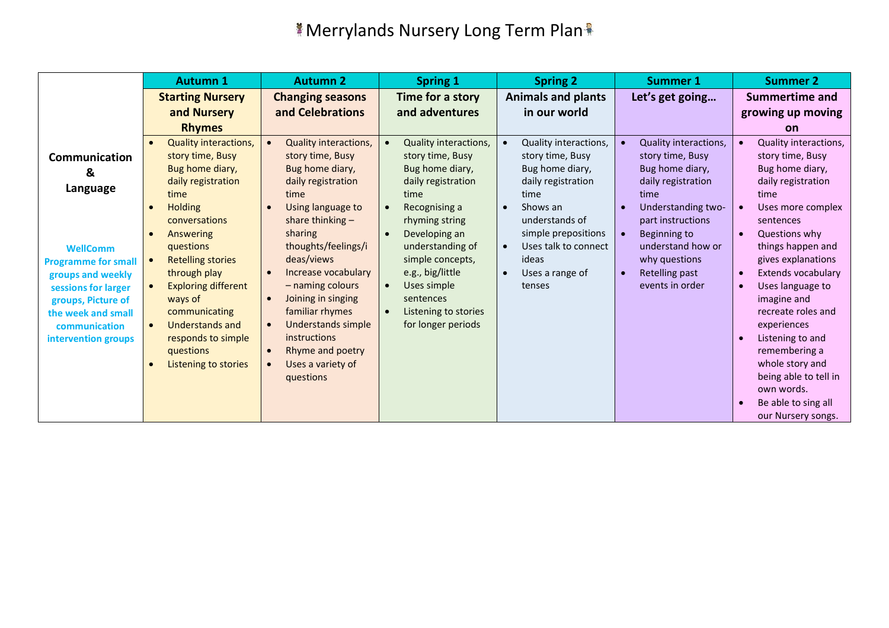|                            | <b>Autumn 1</b>                         | <b>Autumn 2</b>                    | <b>Spring 1</b>                    | <b>Spring 2</b>                    | <b>Summer 1</b>       | <b>Summer 2</b>       |
|----------------------------|-----------------------------------------|------------------------------------|------------------------------------|------------------------------------|-----------------------|-----------------------|
|                            | <b>Starting Nursery</b>                 | <b>Changing seasons</b>            | Time for a story                   | <b>Animals and plants</b>          | Let's get going       | <b>Summertime and</b> |
|                            | and Nursery                             | and Celebrations                   | and adventures                     | in our world                       |                       | growing up moving     |
|                            | <b>Rhymes</b>                           |                                    |                                    |                                    |                       | <b>on</b>             |
|                            | Quality interactions,<br>$\bullet$      | Quality interactions,<br>$\bullet$ | Quality interactions,<br>$\bullet$ | Quality interactions,<br>$\bullet$ | Quality interactions, | Quality interactions, |
| Communication              | story time, Busy                        | story time, Busy                   | story time, Busy                   | story time, Busy                   | story time, Busy      | story time, Busy      |
| &                          | Bug home diary,                         | Bug home diary,                    | Bug home diary,                    | Bug home diary,                    | Bug home diary,       | Bug home diary,       |
| Language                   | daily registration                      | daily registration                 | daily registration                 | daily registration                 | daily registration    | daily registration    |
|                            | time                                    | time                               | time                               | time                               | time                  | time                  |
|                            | <b>Holding</b><br>$\bullet$             | Using language to                  | Recognising a                      | Shows an                           | Understanding two-    | Uses more complex     |
|                            | conversations                           | share thinking $-$                 | rhyming string                     | understands of                     | part instructions     | sentences             |
|                            | Answering<br>$\bullet$                  | sharing                            | Developing an                      | simple prepositions                | <b>Beginning to</b>   | Questions why         |
| <b>WellComm</b>            | questions                               | thoughts/feelings/i                | understanding of                   | Uses talk to connect               | understand how or     | things happen and     |
| <b>Programme for small</b> | <b>Retelling stories</b><br>$\bullet$   | deas/views                         | simple concepts,                   | ideas                              | why questions         | gives explanations    |
| groups and weekly          | through play                            | Increase vocabulary                | e.g., big/little                   | Uses a range of                    | Retelling past        | Extends vocabulary    |
| sessions for larger        | <b>Exploring different</b><br>$\bullet$ | - naming colours                   | Uses simple<br>$\bullet$           | tenses                             | events in order       | Uses language to      |
| groups, Picture of         | ways of                                 | Joining in singing<br>$\bullet$    | sentences                          |                                    |                       | imagine and           |
| the week and small         | communicating                           | familiar rhymes                    | Listening to stories<br>$\bullet$  |                                    |                       | recreate roles and    |
| communication              | Understands and<br>$\bullet$            | Understands simple<br>$\bullet$    | for longer periods                 |                                    |                       | experiences           |
| intervention groups        | responds to simple                      | instructions                       |                                    |                                    |                       | Listening to and      |
|                            | questions                               | Rhyme and poetry                   |                                    |                                    |                       | remembering a         |
|                            | Listening to stories<br>$\bullet$       | Uses a variety of<br>$\bullet$     |                                    |                                    |                       | whole story and       |
|                            |                                         | questions                          |                                    |                                    |                       | being able to tell in |
|                            |                                         |                                    |                                    |                                    |                       | own words.            |
|                            |                                         |                                    |                                    |                                    |                       | Be able to sing all   |
|                            |                                         |                                    |                                    |                                    |                       | our Nursery songs.    |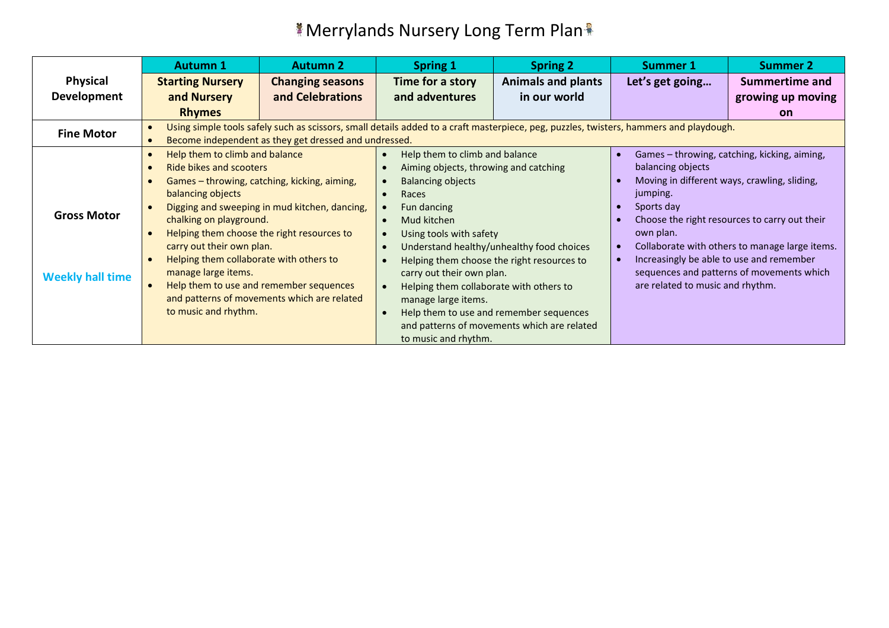|                    | <b>Autumn 1</b>                                                                                                                                                                                                                                                | <b>Autumn 2</b>                                       | <b>Spring 1</b>                                                                                                                 | <b>Spring 2</b>                             | Summer 1                                       | <b>Summer 2</b>                               |  |
|--------------------|----------------------------------------------------------------------------------------------------------------------------------------------------------------------------------------------------------------------------------------------------------------|-------------------------------------------------------|---------------------------------------------------------------------------------------------------------------------------------|---------------------------------------------|------------------------------------------------|-----------------------------------------------|--|
| <b>Physical</b>    | <b>Starting Nursery</b>                                                                                                                                                                                                                                        | <b>Changing seasons</b>                               | Time for a story                                                                                                                | <b>Animals and plants</b>                   | Let's get going                                | <b>Summertime and</b>                         |  |
| Development        | and Nursery                                                                                                                                                                                                                                                    | and Celebrations                                      | and adventures                                                                                                                  | in our world                                |                                                | growing up moving                             |  |
|                    | <b>Rhymes</b>                                                                                                                                                                                                                                                  |                                                       |                                                                                                                                 |                                             |                                                | <b>on</b>                                     |  |
| <b>Fine Motor</b>  | Using simple tools safely such as scissors, small details added to a craft masterpiece, peg, puzzles, twisters, hammers and playdough.                                                                                                                         |                                                       |                                                                                                                                 |                                             |                                                |                                               |  |
|                    |                                                                                                                                                                                                                                                                | Become independent as they get dressed and undressed. |                                                                                                                                 |                                             |                                                |                                               |  |
|                    | Help them to climb and balance                                                                                                                                                                                                                                 |                                                       | Help them to climb and balance<br>$\bullet$                                                                                     |                                             |                                                | Games - throwing, catching, kicking, aiming,  |  |
|                    | Ride bikes and scooters                                                                                                                                                                                                                                        |                                                       | Aiming objects, throwing and catching                                                                                           |                                             | balancing objects                              |                                               |  |
|                    | Games - throwing, catching, kicking, aiming,                                                                                                                                                                                                                   |                                                       | <b>Balancing objects</b><br>$\bullet$                                                                                           |                                             | Moving in different ways, crawling, sliding,   |                                               |  |
|                    | balancing objects                                                                                                                                                                                                                                              |                                                       | Races                                                                                                                           |                                             | jumping.                                       |                                               |  |
|                    |                                                                                                                                                                                                                                                                | Digging and sweeping in mud kitchen, dancing,         | Fun dancing                                                                                                                     |                                             | Sports day                                     |                                               |  |
| <b>Gross Motor</b> | chalking on playground.                                                                                                                                                                                                                                        |                                                       | Mud kitchen<br>$\bullet$                                                                                                        |                                             |                                                | Choose the right resources to carry out their |  |
|                    | Helping them choose the right resources to<br>carry out their own plan.<br>Helping them collaborate with others to<br>manage large items.<br><b>Weekly hall time</b><br>Help them to use and remember sequences<br>and patterns of movements which are related |                                                       | Using tools with safety<br>$\bullet$<br>Understand healthy/unhealthy food choices<br>Helping them choose the right resources to |                                             | own plan.                                      |                                               |  |
|                    |                                                                                                                                                                                                                                                                |                                                       |                                                                                                                                 |                                             | Collaborate with others to manage large items. |                                               |  |
|                    |                                                                                                                                                                                                                                                                |                                                       |                                                                                                                                 |                                             | Increasingly be able to use and remember       |                                               |  |
|                    |                                                                                                                                                                                                                                                                |                                                       | carry out their own plan.                                                                                                       |                                             |                                                | sequences and patterns of movements which     |  |
|                    |                                                                                                                                                                                                                                                                |                                                       | Helping them collaborate with others to<br>$\bullet$                                                                            |                                             | are related to music and rhythm.               |                                               |  |
|                    |                                                                                                                                                                                                                                                                |                                                       | manage large items.                                                                                                             |                                             |                                                |                                               |  |
|                    | to music and rhythm.                                                                                                                                                                                                                                           |                                                       | $\bullet$                                                                                                                       | Help them to use and remember sequences     |                                                |                                               |  |
|                    |                                                                                                                                                                                                                                                                |                                                       |                                                                                                                                 | and patterns of movements which are related |                                                |                                               |  |
|                    |                                                                                                                                                                                                                                                                |                                                       | to music and rhythm.                                                                                                            |                                             |                                                |                                               |  |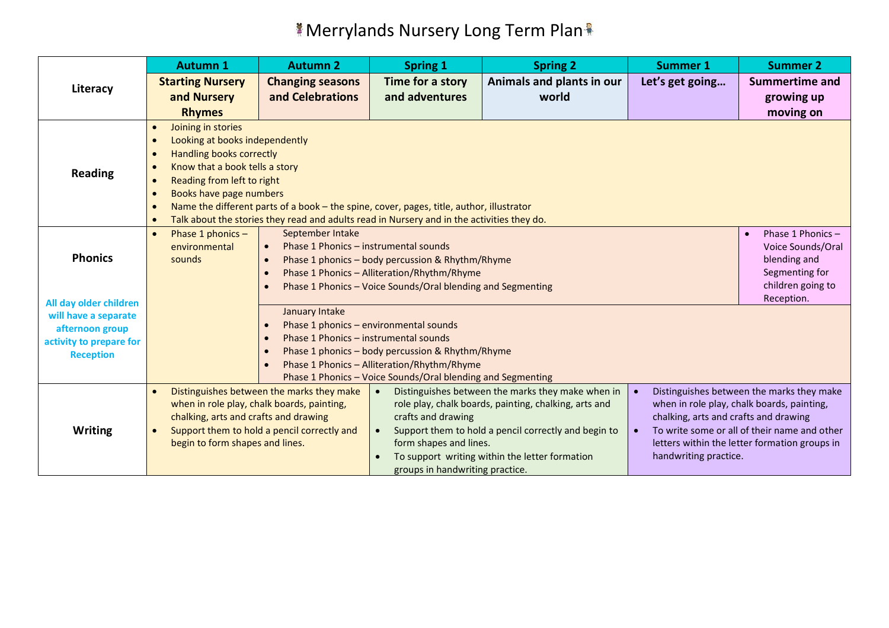|                                                                                                                 | <b>Autumn 1</b>                              | <b>Autumn 2</b>                                                                          | <b>Spring 1</b>                                             | <b>Spring 2</b>                                       | <b>Summer 1</b>                       | <b>Summer 2</b>                               |  |  |
|-----------------------------------------------------------------------------------------------------------------|----------------------------------------------|------------------------------------------------------------------------------------------|-------------------------------------------------------------|-------------------------------------------------------|---------------------------------------|-----------------------------------------------|--|--|
| Literacy                                                                                                        | <b>Starting Nursery</b>                      | <b>Changing seasons</b>                                                                  | Time for a story                                            | Animals and plants in our                             | Let's get going                       | <b>Summertime and</b>                         |  |  |
|                                                                                                                 | and Nursery                                  | and Celebrations                                                                         | and adventures                                              | world                                                 |                                       | growing up                                    |  |  |
|                                                                                                                 | <b>Rhymes</b>                                |                                                                                          |                                                             |                                                       |                                       | moving on                                     |  |  |
|                                                                                                                 | Joining in stories<br>$\bullet$              |                                                                                          |                                                             |                                                       |                                       |                                               |  |  |
|                                                                                                                 | Looking at books independently<br>$\bullet$  |                                                                                          |                                                             |                                                       |                                       |                                               |  |  |
|                                                                                                                 | <b>Handling books correctly</b><br>$\bullet$ |                                                                                          |                                                             |                                                       |                                       |                                               |  |  |
| <b>Reading</b>                                                                                                  | Know that a book tells a story<br>$\bullet$  |                                                                                          |                                                             |                                                       |                                       |                                               |  |  |
|                                                                                                                 | Reading from left to right<br>$\bullet$      |                                                                                          |                                                             |                                                       |                                       |                                               |  |  |
|                                                                                                                 | Books have page numbers<br>$\bullet$         |                                                                                          |                                                             |                                                       |                                       |                                               |  |  |
|                                                                                                                 | $\bullet$                                    | Name the different parts of a book - the spine, cover, pages, title, author, illustrator |                                                             |                                                       |                                       |                                               |  |  |
| Talk about the stories they read and adults read in Nursery and in the activities they do.<br>Phase 1 Phonics - |                                              |                                                                                          |                                                             |                                                       |                                       |                                               |  |  |
|                                                                                                                 | Phase 1 phonics -<br>$\bullet$               | September Intake                                                                         |                                                             |                                                       |                                       |                                               |  |  |
| <b>Phonics</b>                                                                                                  | environmental                                | Phase 1 Phonics - instrumental sounds                                                    |                                                             | Voice Sounds/Oral                                     |                                       |                                               |  |  |
|                                                                                                                 | sounds                                       | Phase 1 phonics - body percussion & Rhythm/Rhyme                                         | blending and                                                |                                                       |                                       |                                               |  |  |
|                                                                                                                 |                                              | Phase 1 Phonics - Alliteration/Rhythm/Rhyme                                              | Segmenting for                                              |                                                       |                                       |                                               |  |  |
|                                                                                                                 |                                              |                                                                                          | Phase 1 Phonics - Voice Sounds/Oral blending and Segmenting |                                                       |                                       | children going to<br>Reception.               |  |  |
| All day older children<br>will have a separate                                                                  |                                              | January Intake                                                                           |                                                             |                                                       |                                       |                                               |  |  |
| afternoon group                                                                                                 |                                              |                                                                                          | Phase 1 phonics - environmental sounds                      |                                                       |                                       |                                               |  |  |
| activity to prepare for                                                                                         |                                              | Phase 1 Phonics - instrumental sounds                                                    |                                                             |                                                       |                                       |                                               |  |  |
| <b>Reception</b>                                                                                                |                                              |                                                                                          | Phase 1 phonics - body percussion & Rhythm/Rhyme            |                                                       |                                       |                                               |  |  |
|                                                                                                                 |                                              |                                                                                          | Phase 1 Phonics - Alliteration/Rhythm/Rhyme                 |                                                       |                                       |                                               |  |  |
|                                                                                                                 |                                              |                                                                                          | Phase 1 Phonics - Voice Sounds/Oral blending and Segmenting |                                                       |                                       |                                               |  |  |
|                                                                                                                 | $\bullet$                                    | Distinguishes between the marks they make                                                | $\bullet$                                                   | Distinguishes between the marks they make when in     |                                       | Distinguishes between the marks they make     |  |  |
|                                                                                                                 |                                              | when in role play, chalk boards, painting,                                               |                                                             | role play, chalk boards, painting, chalking, arts and |                                       | when in role play, chalk boards, painting,    |  |  |
|                                                                                                                 | chalking, arts and crafts and drawing        |                                                                                          | crafts and drawing                                          |                                                       | chalking, arts and crafts and drawing |                                               |  |  |
| <b>Writing</b>                                                                                                  |                                              | Support them to hold a pencil correctly and                                              | $\bullet$                                                   | Support them to hold a pencil correctly and begin to  |                                       | To write some or all of their name and other  |  |  |
|                                                                                                                 | begin to form shapes and lines.              |                                                                                          | form shapes and lines.                                      |                                                       |                                       | letters within the letter formation groups in |  |  |
|                                                                                                                 |                                              |                                                                                          |                                                             | To support writing within the letter formation        | handwriting practice.                 |                                               |  |  |
|                                                                                                                 |                                              |                                                                                          | groups in handwriting practice.                             |                                                       |                                       |                                               |  |  |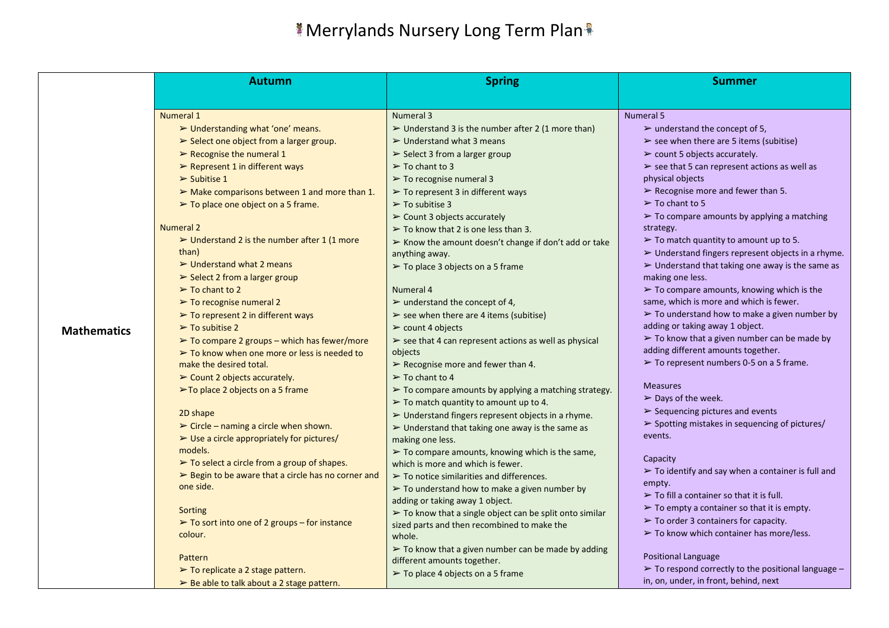|                    | <b>Autumn</b>                                                      | <b>Spring</b>                                                                       | <b>Summer</b>                                                                                  |
|--------------------|--------------------------------------------------------------------|-------------------------------------------------------------------------------------|------------------------------------------------------------------------------------------------|
|                    |                                                                    |                                                                                     |                                                                                                |
|                    | Numeral 1                                                          | Numeral 3                                                                           | <b>Numeral 5</b>                                                                               |
|                    | $\triangleright$ Understanding what 'one' means.                   | $\triangleright$ Understand 3 is the number after 2 (1 more than)                   | $\triangleright$ understand the concept of 5,                                                  |
|                    | $\triangleright$ Select one object from a larger group.            | $\triangleright$ Understand what 3 means                                            | $\triangleright$ see when there are 5 items (subitise)                                         |
|                    | $\triangleright$ Recognise the numeral 1                           | $\triangleright$ Select 3 from a larger group                                       | $\triangleright$ count 5 objects accurately.                                                   |
|                    | $\triangleright$ Represent 1 in different ways                     | $\triangleright$ To chant to 3                                                      | $\triangleright$ see that 5 can represent actions as well as                                   |
|                    | $\triangleright$ Subitise 1                                        | $\triangleright$ To recognise numeral 3                                             | physical objects                                                                               |
|                    | $\triangleright$ Make comparisons between 1 and more than 1.       | $\triangleright$ To represent 3 in different ways                                   | $\triangleright$ Recognise more and fewer than 5.                                              |
|                    | > To place one object on a 5 frame.                                | $\geq$ To subitise 3                                                                | $\geq$ To chant to 5                                                                           |
|                    |                                                                    | > Count 3 objects accurately                                                        | $\triangleright$ To compare amounts by applying a matching                                     |
|                    | <b>Numeral 2</b>                                                   | $\triangleright$ To know that 2 is one less than 3.                                 | strategy.                                                                                      |
|                    | $\triangleright$ Understand 2 is the number after 1 (1 more        | $\triangleright$ Know the amount doesn't change if don't add or take                | $\triangleright$ To match quantity to amount up to 5.                                          |
|                    | than)                                                              | anything away.                                                                      | > Understand fingers represent objects in a rhyme.                                             |
|                    | $\triangleright$ Understand what 2 means                           | $\triangleright$ To place 3 objects on a 5 frame                                    | $\triangleright$ Understand that taking one away is the same as                                |
|                    | $\triangleright$ Select 2 from a larger group                      |                                                                                     | making one less.                                                                               |
|                    | $\triangleright$ To chant to 2                                     | Numeral 4                                                                           | $\triangleright$ To compare amounts, knowing which is the                                      |
|                    | $\triangleright$ To recognise numeral 2                            | $\triangleright$ understand the concept of 4,                                       | same, which is more and which is fewer.                                                        |
|                    | $\triangleright$ To represent 2 in different ways                  | $\triangleright$ see when there are 4 items (subitise)                              | $\triangleright$ To understand how to make a given number by                                   |
| <b>Mathematics</b> | $\triangleright$ To subitise 2                                     | $\triangleright$ count 4 objects                                                    | adding or taking away 1 object.<br>$\triangleright$ To know that a given number can be made by |
|                    | $\triangleright$ To compare 2 groups – which has fewer/more        | $\triangleright$ see that 4 can represent actions as well as physical               | adding different amounts together.                                                             |
|                    | $\triangleright$ To know when one more or less is needed to        | objects                                                                             | $\triangleright$ To represent numbers 0-5 on a 5 frame.                                        |
|                    | make the desired total.                                            | $\triangleright$ Recognise more and fewer than 4.                                   |                                                                                                |
|                    | $\triangleright$ Count 2 objects accurately.                       | $\triangleright$ To chant to 4                                                      | <b>Measures</b>                                                                                |
|                    | $\triangleright$ To place 2 objects on a 5 frame                   | $\triangleright$ To compare amounts by applying a matching strategy.                | $\triangleright$ Days of the week.                                                             |
|                    | 2D shape                                                           | $\triangleright$ To match quantity to amount up to 4.                               | $\triangleright$ Sequencing pictures and events                                                |
|                    | $\triangleright$ Circle – naming a circle when shown.              | > Understand fingers represent objects in a rhyme.                                  | $\triangleright$ Spotting mistakes in sequencing of pictures/                                  |
|                    | $\triangleright$ Use a circle appropriately for pictures/          | $\triangleright$ Understand that taking one away is the same as<br>making one less. | events.                                                                                        |
|                    | models.                                                            | $\triangleright$ To compare amounts, knowing which is the same,                     |                                                                                                |
|                    | $\triangleright$ To select a circle from a group of shapes.        | which is more and which is fewer.                                                   | Capacity                                                                                       |
|                    | $\triangleright$ Begin to be aware that a circle has no corner and | $\triangleright$ To notice similarities and differences.                            | $\triangleright$ To identify and say when a container is full and                              |
|                    | one side.                                                          | $\triangleright$ To understand how to make a given number by                        | empty.                                                                                         |
|                    |                                                                    | adding or taking away 1 object.                                                     | $\triangleright$ To fill a container so that it is full.                                       |
|                    | Sorting                                                            | $\triangleright$ To know that a single object can be split onto similar             | $\triangleright$ To empty a container so that it is empty.                                     |
|                    | $\triangleright$ To sort into one of 2 groups – for instance       | sized parts and then recombined to make the                                         | $\triangleright$ To order 3 containers for capacity.                                           |
|                    | colour.                                                            | whole.                                                                              | $\triangleright$ To know which container has more/less.                                        |
|                    |                                                                    | $\triangleright$ To know that a given number can be made by adding                  |                                                                                                |
|                    | Pattern                                                            | different amounts together.                                                         | <b>Positional Language</b>                                                                     |
|                    | $\triangleright$ To replicate a 2 stage pattern.                   | $\triangleright$ To place 4 objects on a 5 frame                                    | $\triangleright$ To respond correctly to the positional language -                             |
|                    | $\triangleright$ Be able to talk about a 2 stage pattern.          |                                                                                     | in, on, under, in front, behind, next                                                          |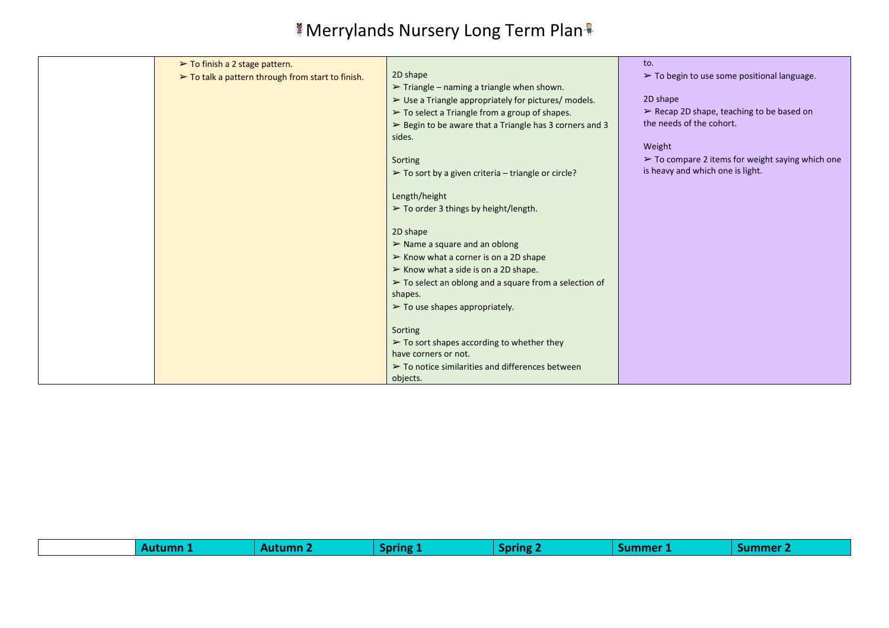| $\triangleright$ To finish a 2 stage pattern.                    |                                                                        | to.                                                             |
|------------------------------------------------------------------|------------------------------------------------------------------------|-----------------------------------------------------------------|
| $\triangleright$ To talk a pattern through from start to finish. | 2D shape                                                               | $\triangleright$ To begin to use some positional language.      |
|                                                                  | $\triangleright$ Triangle – naming a triangle when shown.              |                                                                 |
|                                                                  | $\triangleright$ Use a Triangle appropriately for pictures/ models.    | 2D shape                                                        |
|                                                                  | $\triangleright$ To select a Triangle from a group of shapes.          | $\triangleright$ Recap 2D shape, teaching to be based on        |
|                                                                  | $\triangleright$ Begin to be aware that a Triangle has 3 corners and 3 | the needs of the cohort.                                        |
|                                                                  | sides.                                                                 |                                                                 |
|                                                                  |                                                                        | Weight                                                          |
|                                                                  | Sorting                                                                | $\triangleright$ To compare 2 items for weight saying which one |
|                                                                  | $\triangleright$ To sort by a given criteria – triangle or circle?     | is heavy and which one is light.                                |
|                                                                  |                                                                        |                                                                 |
|                                                                  | Length/height                                                          |                                                                 |
|                                                                  | > To order 3 things by height/length.                                  |                                                                 |
|                                                                  |                                                                        |                                                                 |
|                                                                  | 2D shape                                                               |                                                                 |
|                                                                  | $\triangleright$ Name a square and an oblong                           |                                                                 |
|                                                                  | $\triangleright$ Know what a corner is on a 2D shape                   |                                                                 |
|                                                                  | $\triangleright$ Know what a side is on a 2D shape.                    |                                                                 |
|                                                                  | $\triangleright$ To select an oblong and a square from a selection of  |                                                                 |
|                                                                  | shapes.                                                                |                                                                 |
|                                                                  | $\blacktriangleright$ To use shapes appropriately.                     |                                                                 |
|                                                                  |                                                                        |                                                                 |
|                                                                  | Sorting                                                                |                                                                 |
|                                                                  | $\triangleright$ To sort shapes according to whether they              |                                                                 |
|                                                                  | have corners or not.                                                   |                                                                 |
|                                                                  | $\triangleright$ To notice similarities and differences between        |                                                                 |
|                                                                  | objects.                                                               |                                                                 |

| alimme <sup>r</sup><br>anring.<br>.<br><br>mano<br>. |  |
|------------------------------------------------------|--|
|------------------------------------------------------|--|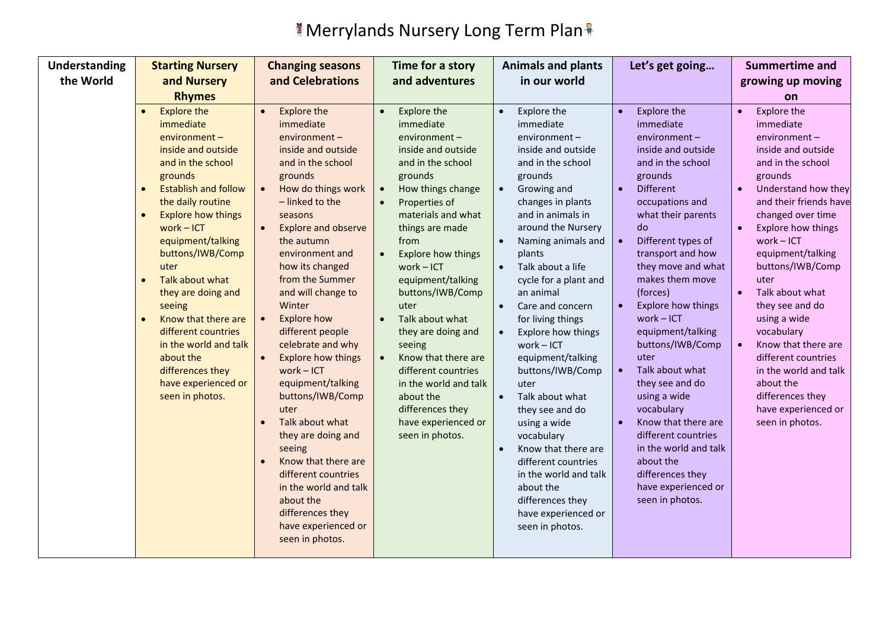| Understanding | <b>Starting Nursery</b>                                                                                                                                                                                                                                                                                                                                                                                                                                                   | <b>Changing seasons</b>                                                                                                                                                                                                                                                                                                                                                                                                                                                                                                                                                                                                                                                                                                                                     | Time for a story                                                                                                                                                                                                                                                                                                                                                                                                                                                                         | <b>Animals and plants</b>                                                                                                                                                                                                                                                                                                                                                                                                                                                                                                                                                                                                                                                                                             | Let's get going                                                                                                                                                                                                                                                                                                                                                                                                                                                                                                                                                                                                                                  | <b>Summertime and</b>                                                                                                                                                                                                                                                                                                                                                                                                                                                                                                                              |
|---------------|---------------------------------------------------------------------------------------------------------------------------------------------------------------------------------------------------------------------------------------------------------------------------------------------------------------------------------------------------------------------------------------------------------------------------------------------------------------------------|-------------------------------------------------------------------------------------------------------------------------------------------------------------------------------------------------------------------------------------------------------------------------------------------------------------------------------------------------------------------------------------------------------------------------------------------------------------------------------------------------------------------------------------------------------------------------------------------------------------------------------------------------------------------------------------------------------------------------------------------------------------|------------------------------------------------------------------------------------------------------------------------------------------------------------------------------------------------------------------------------------------------------------------------------------------------------------------------------------------------------------------------------------------------------------------------------------------------------------------------------------------|-----------------------------------------------------------------------------------------------------------------------------------------------------------------------------------------------------------------------------------------------------------------------------------------------------------------------------------------------------------------------------------------------------------------------------------------------------------------------------------------------------------------------------------------------------------------------------------------------------------------------------------------------------------------------------------------------------------------------|--------------------------------------------------------------------------------------------------------------------------------------------------------------------------------------------------------------------------------------------------------------------------------------------------------------------------------------------------------------------------------------------------------------------------------------------------------------------------------------------------------------------------------------------------------------------------------------------------------------------------------------------------|----------------------------------------------------------------------------------------------------------------------------------------------------------------------------------------------------------------------------------------------------------------------------------------------------------------------------------------------------------------------------------------------------------------------------------------------------------------------------------------------------------------------------------------------------|
| the World     | and Nursery                                                                                                                                                                                                                                                                                                                                                                                                                                                               | and Celebrations                                                                                                                                                                                                                                                                                                                                                                                                                                                                                                                                                                                                                                                                                                                                            | and adventures                                                                                                                                                                                                                                                                                                                                                                                                                                                                           | in our world                                                                                                                                                                                                                                                                                                                                                                                                                                                                                                                                                                                                                                                                                                          |                                                                                                                                                                                                                                                                                                                                                                                                                                                                                                                                                                                                                                                  | growing up moving                                                                                                                                                                                                                                                                                                                                                                                                                                                                                                                                  |
|               | <b>Rhymes</b>                                                                                                                                                                                                                                                                                                                                                                                                                                                             |                                                                                                                                                                                                                                                                                                                                                                                                                                                                                                                                                                                                                                                                                                                                                             |                                                                                                                                                                                                                                                                                                                                                                                                                                                                                          |                                                                                                                                                                                                                                                                                                                                                                                                                                                                                                                                                                                                                                                                                                                       |                                                                                                                                                                                                                                                                                                                                                                                                                                                                                                                                                                                                                                                  | on                                                                                                                                                                                                                                                                                                                                                                                                                                                                                                                                                 |
|               | <b>Explore the</b><br>$\bullet$<br>immediate<br>environment-<br>inside and outside<br>and in the school<br>grounds<br><b>Establish and follow</b><br>the daily routine<br><b>Explore how things</b><br>$work - ICT$<br>equipment/talking<br>buttons/IWB/Comp<br>uter<br>Talk about what<br>they are doing and<br>seeing<br>Know that there are<br>different countries<br>in the world and talk<br>about the<br>differences they<br>have experienced or<br>seen in photos. | <b>Explore the</b><br>$\bullet$<br>immediate<br>environment-<br>inside and outside<br>and in the school<br>grounds<br>How do things work<br>$\bullet$<br>- linked to the<br>seasons<br><b>Explore and observe</b><br>$\bullet$<br>the autumn<br>environment and<br>how its changed<br>from the Summer<br>and will change to<br>Winter<br><b>Explore how</b><br>$\bullet$<br>different people<br>celebrate and why<br><b>Explore how things</b><br>$\bullet$<br>$work - ICT$<br>equipment/talking<br>buttons/IWB/Comp<br>uter<br>Talk about what<br>$\bullet$<br>they are doing and<br>seeing<br>Know that there are<br>$\bullet$<br>different countries<br>in the world and talk<br>about the<br>differences they<br>have experienced or<br>seen in photos. | Explore the<br>immediate<br>environment-<br>inside and outside<br>and in the school<br>grounds<br>How things change<br>Properties of<br>materials and what<br>things are made<br>from<br><b>Explore how things</b><br>$work - ICT$<br>equipment/talking<br>buttons/IWB/Comp<br>uter<br>Talk about what<br>they are doing and<br>seeing<br>Know that there are<br>different countries<br>in the world and talk<br>about the<br>differences they<br>have experienced or<br>seen in photos. | Explore the<br>$\bullet$<br>immediate<br>environment-<br>inside and outside<br>and in the school<br>grounds<br>Growing and<br>$\bullet$<br>changes in plants<br>and in animals in<br>around the Nursery<br>Naming animals and<br>$\bullet$<br>plants<br>Talk about a life<br>cycle for a plant and<br>an animal<br>Care and concern<br>$\bullet$<br>for living things<br>Explore how things<br>$\bullet$<br>work-ICT<br>equipment/talking<br>buttons/IWB/Comp<br>uter<br>Talk about what<br>$\bullet$<br>they see and do<br>using a wide<br>vocabulary<br>Know that there are<br>$\bullet$<br>different countries<br>in the world and talk<br>about the<br>differences they<br>have experienced or<br>seen in photos. | <b>Explore the</b><br>immediate<br>environment-<br>inside and outside<br>and in the school<br>grounds<br><b>Different</b><br>$\bullet$<br>occupations and<br>what their parents<br>do<br>Different types of<br>$\bullet$<br>transport and how<br>they move and what<br>makes them move<br>(forces)<br><b>Explore how things</b><br>$work - ICT$<br>equipment/talking<br>buttons/IWB/Comp<br>uter<br>Talk about what<br>$\bullet$<br>they see and do<br>using a wide<br>vocabulary<br>Know that there are<br>$\bullet$<br>different countries<br>in the world and talk<br>about the<br>differences they<br>have experienced or<br>seen in photos. | Explore the<br>$\bullet$<br>immediate<br>environment-<br>inside and outside<br>and in the school<br>grounds<br>Understand how they<br>$\bullet$<br>and their friends have<br>changed over time<br>Explore how things<br>$\bullet$<br>$work - ICT$<br>equipment/talking<br>buttons/IWB/Comp<br>uter<br>Talk about what<br>$\bullet$<br>they see and do<br>using a wide<br>vocabulary<br>Know that there are<br>$\bullet$<br>different countries<br>in the world and talk<br>about the<br>differences they<br>have experienced or<br>seen in photos. |